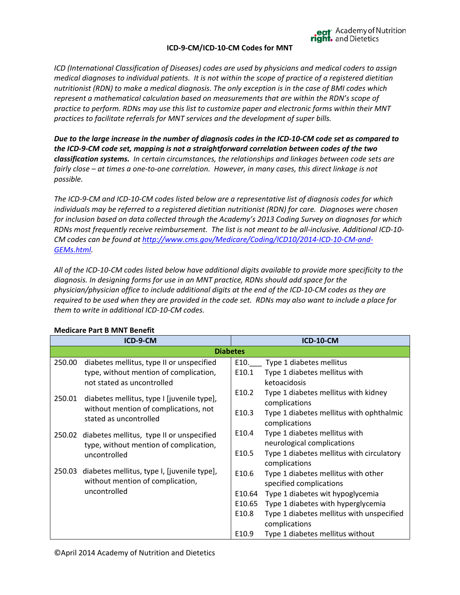### **ICD-9-CM/ICD-10-CM Codes for MNT**

eat<sup>\*</sup> Academy of Nutrition<br> **right.** and Dietetics

*ICD (International Classification of Diseases) codes are used by physicians and medical coders to assign medical diagnoses to individual patients. It is not within the scope of practice of a registered dietitian nutritionist (RDN) to make a medical diagnosis. The only exception is in the case of BMI codes which represent a mathematical calculation based on measurements that are within the RDN's scope of practice to perform. RDNs may use this list to customize paper and electronic forms within their MNT practices to facilitate referrals for MNT services and the development of super bills.*

*Due to the large increase in the number of diagnosis codes in the ICD-10-CM code set as compared to the ICD-9-CM code set, mapping is not a straightforward correlation between codes of the two classification systems. In certain circumstances, the relationships and linkages between code sets are fairly close – at times a one-to-one correlation. However, in many cases, this direct linkage is not possible.* 

*The ICD-9-CM and ICD-10-CM codes listed below are a representative list of diagnosis codes for which individuals may be referred to a registered dietitian nutritionist (RDN) for care. Diagnoses were chosen for inclusion based on data collected through the Academy's 2013 Coding Survey on diagnoses for which RDNs most frequently receive reimbursement. The list is not meant to be all-inclusive. Additional ICD-10- CM codes can be found a[t http://www.cms.gov/Medicare/Coding/ICD10/2014-ICD-10-CM-and-](http://www.cms.gov/Medicare/Coding/ICD10/2014-ICD-10-CM-and-GEMs.html)[GEMs.html.](http://www.cms.gov/Medicare/Coding/ICD10/2014-ICD-10-CM-and-GEMs.html)* 

*All of the ICD-10-CM codes listed below have additional digits available to provide more specificity to the diagnosis. In designing forms for use in an MNT practice, RDNs should add space for the physician/physician office to include additional digits at the end of the ICD-10-CM codes as they are required to be used when they are provided in the code set. RDNs may also want to include a place for them to write in additional ICD-10-CM codes.* 

|                 | ICD-9-CM                                                                            |                   | <b>ICD-10-CM</b>                          |
|-----------------|-------------------------------------------------------------------------------------|-------------------|-------------------------------------------|
| <b>Diabetes</b> |                                                                                     |                   |                                           |
| 250.00          | diabetes mellitus, type II or unspecified                                           | E10.              | Type 1 diabetes mellitus                  |
|                 | type, without mention of complication,                                              | E10.1             | Type 1 diabetes mellitus with             |
|                 | not stated as uncontrolled                                                          |                   | ketoacidosis                              |
|                 |                                                                                     | E <sub>10.2</sub> | Type 1 diabetes mellitus with kidney      |
| 250.01          | diabetes mellitus, type I [juvenile type],<br>without mention of complications, not |                   | complications                             |
|                 | stated as uncontrolled                                                              | E10.3             | Type 1 diabetes mellitus with ophthalmic  |
|                 |                                                                                     |                   | complications                             |
| 250.02          | diabetes mellitus, type II or unspecified                                           | E10.4             | Type 1 diabetes mellitus with             |
|                 | type, without mention of complication,                                              |                   | neurological complications                |
|                 | uncontrolled                                                                        | E <sub>10.5</sub> | Type 1 diabetes mellitus with circulatory |
|                 |                                                                                     |                   | complications                             |
| 250.03          | diabetes mellitus, type I, [juvenile type],                                         | E10.6             | Type 1 diabetes mellitus with other       |
|                 | without mention of complication,                                                    |                   | specified complications                   |
|                 | uncontrolled                                                                        | E10.64            | Type 1 diabetes wit hypoglycemia          |
|                 |                                                                                     | E10.65            | Type 1 diabetes with hyperglycemia        |
|                 |                                                                                     | E10.8             | Type 1 diabetes mellitus with unspecified |
|                 |                                                                                     |                   | complications                             |
|                 |                                                                                     | E <sub>10.9</sub> | Type 1 diabetes mellitus without          |

### **Medicare Part B MNT Benefit**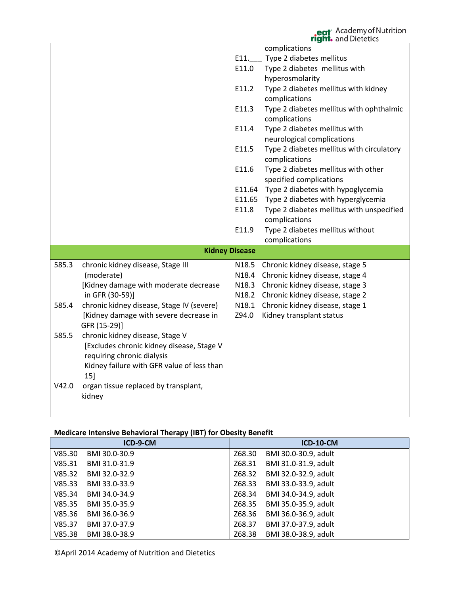eat<sup>-</sup> Academy of Nutrition<br> **right.** and Dietetics

|       |                                            |        | complications                             |
|-------|--------------------------------------------|--------|-------------------------------------------|
|       |                                            | E11.   | Type 2 diabetes mellitus                  |
|       |                                            | E11.0  | Type 2 diabetes mellitus with             |
|       |                                            |        |                                           |
|       |                                            |        | hyperosmolarity                           |
|       |                                            | E11.2  | Type 2 diabetes mellitus with kidney      |
|       |                                            |        | complications                             |
|       |                                            | E11.3  | Type 2 diabetes mellitus with ophthalmic  |
|       |                                            |        | complications                             |
|       |                                            | E11.4  | Type 2 diabetes mellitus with             |
|       |                                            |        | neurological complications                |
|       |                                            | E11.5  | Type 2 diabetes mellitus with circulatory |
|       |                                            |        | complications                             |
|       |                                            | E11.6  | Type 2 diabetes mellitus with other       |
|       |                                            |        | specified complications                   |
|       |                                            | E11.64 | Type 2 diabetes with hypoglycemia         |
|       |                                            | E11.65 | Type 2 diabetes with hyperglycemia        |
|       |                                            | E11.8  | Type 2 diabetes mellitus with unspecified |
|       |                                            |        | complications                             |
|       |                                            | E11.9  | Type 2 diabetes mellitus without          |
|       |                                            |        | complications                             |
|       | <b>Kidney Disease</b>                      |        |                                           |
|       |                                            |        |                                           |
| 585.3 | chronic kidney disease, Stage III          | N18.5  | Chronic kidney disease, stage 5           |
|       | (moderate)                                 | N18.4  | Chronic kidney disease, stage 4           |
|       | [Kidney damage with moderate decrease      | N18.3  | Chronic kidney disease, stage 3           |
|       | in GFR (30-59)]                            | N18.2  | Chronic kidney disease, stage 2           |
| 585.4 | chronic kidney disease, Stage IV (severe)  | N18.1  | Chronic kidney disease, stage 1           |
|       | [Kidney damage with severe decrease in     | Z94.0  | Kidney transplant status                  |
|       | GFR (15-29)]                               |        |                                           |
| 585.5 | chronic kidney disease, Stage V            |        |                                           |
|       | [Excludes chronic kidney disease, Stage V  |        |                                           |
|       | requiring chronic dialysis                 |        |                                           |
|       | Kidney failure with GFR value of less than |        |                                           |
|       | 15                                         |        |                                           |
| V42.0 | organ tissue replaced by transplant,       |        |                                           |
|       | kidney                                     |        |                                           |
|       |                                            |        |                                           |
|       |                                            |        |                                           |

## **Medicare Intensive Behavioral Therapy (IBT) for Obesity Benefit**

|        | ICD-9-CM      |        | <b>ICD-10-CM</b>     |
|--------|---------------|--------|----------------------|
| V85.30 | BMI 30.0-30.9 | Z68.30 | BMI 30.0-30.9, adult |
| V85.31 | BMI 31.0-31.9 | Z68.31 | BMI 31.0-31.9, adult |
| V85.32 | BMI 32.0-32.9 | Z68.32 | BMI 32.0-32.9, adult |
| V85.33 | BMI 33.0-33.9 | Z68.33 | BMI 33.0-33.9, adult |
| V85.34 | BMI 34.0-34.9 | Z68.34 | BMI 34.0-34.9, adult |
| V85.35 | BMI 35.0-35.9 | Z68.35 | BMI 35.0-35.9, adult |
| V85.36 | BMI 36.0-36.9 | Z68.36 | BMI 36.0-36.9, adult |
| V85.37 | BMI 37.0-37.9 | Z68.37 | BMI 37.0-37.9, adult |
| V85.38 | BMI 38.0-38.9 | Z68.38 | BMI 38.0-38.9, adult |

©April 2014 Academy of Nutrition and Dietetics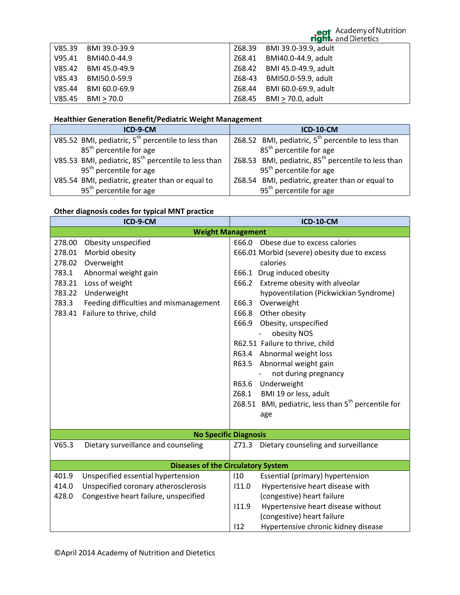# eat<sup>-</sup> Academy of Nutrition<br> **right.** and Dietetics

|        | V85.39 BMI 39.0-39.9 | Z68.39 BMI 39.0-39.9, adult |
|--------|----------------------|-----------------------------|
|        | V95.41 BMI40.0-44.9  | Z68.41 BMI40.0-44.9, adult  |
|        | V85.42 BMI 45.0-49.9 | Z68.42 BMI 45.0-49.9, adult |
|        | V85.43 BMI50.0-59.9  | Z68-43 BMI50.0-59.9, adult  |
| V85.44 | BMI 60.0-69.9        | Z68.44 BMI 60.0-69.9, adult |
|        | $V85.45$ BMI > 70.0  | Z68.45 BMI > 70.0, adult    |

# **Healthier Generation Benefit/Pediatric Weight Management**

| ICD-9-CM                                                        | <b>ICD-10-CM</b>                                                |
|-----------------------------------------------------------------|-----------------------------------------------------------------|
| V85.52 BMI, pediatric, $5^{th}$ percentile to less than         | Z68.52 BMI, pediatric, $5th$ percentile to less than            |
| 85 <sup>th</sup> percentile for age                             | 85 <sup>th</sup> percentile for age                             |
| V85.53 BMI, pediatric, 85 <sup>th</sup> percentile to less than | Z68.53 BMI, pediatric, 85 <sup>th</sup> percentile to less than |
| 95 <sup>th</sup> percentile for age                             | 95 <sup>th</sup> percentile for age                             |
| V85.54 BMI, pediatric, greater than or equal to                 | Z68.54 BMI, pediatric, greater than or equal to                 |
| 95 <sup>th</sup> percentile for age                             | 95 <sup>th</sup> percentile for age                             |

## **Other diagnosis codes for typical MNT practice**

| ICD-9-CM                                                         |                                                                                                                                                                                           | <b>ICD-10-CM</b>                                                                                                                                                                                                                                                                                                                                                                                                                                                                                                                                                          |  |
|------------------------------------------------------------------|-------------------------------------------------------------------------------------------------------------------------------------------------------------------------------------------|---------------------------------------------------------------------------------------------------------------------------------------------------------------------------------------------------------------------------------------------------------------------------------------------------------------------------------------------------------------------------------------------------------------------------------------------------------------------------------------------------------------------------------------------------------------------------|--|
| <b>Weight Management</b>                                         |                                                                                                                                                                                           |                                                                                                                                                                                                                                                                                                                                                                                                                                                                                                                                                                           |  |
| 278.00<br>278.01<br>278.02<br>783.1<br>783.21<br>783.22<br>783.3 | Obesity unspecified<br>Morbid obesity<br>Overweight<br>Abnormal weight gain<br>Loss of weight<br>Underweight<br>Feeding difficulties and mismanagement<br>783.41 Failure to thrive, child | E66.0<br>Obese due to excess calories<br>E66.01 Morbid (severe) obesity due to excess<br>calories<br>E66.1 Drug induced obesity<br>E66.2 Extreme obesity with alveolar<br>hypoventilation (Pickwickian Syndrome)<br>Overweight<br>E66.3<br>E66.8<br>Other obesity<br>Obesity, unspecified<br>E66.9<br>obesity NOS<br>R62.51 Failure to thrive, child<br>R63.4 Abnormal weight loss<br>R63.5 Abnormal weight gain<br>not during pregnancy<br>R63.6 Underweight<br>BMI 19 or less, adult<br>Z68.1<br>Z68.51 BMI, pediatric, less than 5 <sup>th</sup> percentile for<br>age |  |
|                                                                  |                                                                                                                                                                                           | <b>No Specific Diagnosis</b>                                                                                                                                                                                                                                                                                                                                                                                                                                                                                                                                              |  |
| V65.3                                                            | Dietary surveillance and counseling                                                                                                                                                       | Dietary counseling and surveillance<br>Z71.3                                                                                                                                                                                                                                                                                                                                                                                                                                                                                                                              |  |
|                                                                  |                                                                                                                                                                                           | <b>Diseases of the Circulatory System</b>                                                                                                                                                                                                                                                                                                                                                                                                                                                                                                                                 |  |
| 401.9<br>414.0<br>428.0                                          | Unspecified essential hypertension<br>Unspecified coronary atherosclerosis<br>Congestive heart failure, unspecified                                                                       | 110<br>Essential (primary) hypertension<br>111.0<br>Hypertensive heart disease with<br>(congestive) heart failure<br>Hypertensive heart disease without<br>11.9<br>(congestive) heart failure<br>112<br>Hypertensive chronic kidney disease                                                                                                                                                                                                                                                                                                                               |  |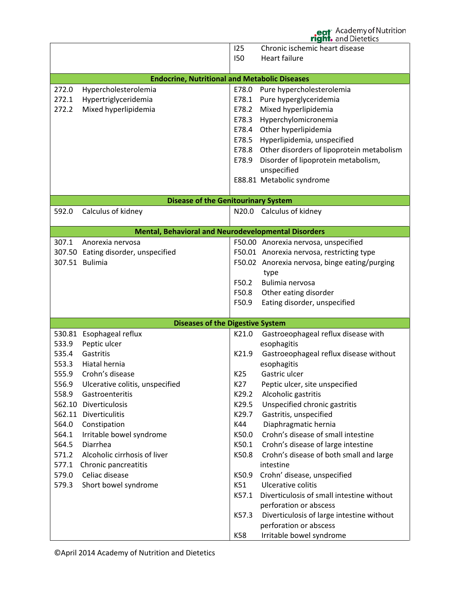|       |                                                            |                 | eat Academy of Nutrition<br>right. and Dietetics |
|-------|------------------------------------------------------------|-----------------|--------------------------------------------------|
|       |                                                            | 125             | Chronic ischemic heart disease                   |
|       |                                                            | 150             | <b>Heart failure</b>                             |
|       |                                                            |                 |                                                  |
|       | <b>Endocrine, Nutritional and Metabolic Diseases</b>       |                 |                                                  |
| 272.0 | Hypercholesterolemia                                       | E78.0           | Pure hypercholesterolemia                        |
| 272.1 | Hypertriglyceridemia                                       | E78.1           | Pure hyperglyceridemia                           |
| 272.2 | Mixed hyperlipidemia                                       | E78.2           | Mixed hyperlipidemia                             |
|       |                                                            | E78.3           | Hyperchylomicronemia                             |
|       |                                                            | E78.4           | Other hyperlipidemia                             |
|       |                                                            | E78.5           | Hyperlipidemia, unspecified                      |
|       |                                                            | E78.8           | Other disorders of lipoprotein metabolism        |
|       |                                                            | E78.9           | Disorder of lipoprotein metabolism,              |
|       |                                                            |                 | unspecified                                      |
|       |                                                            |                 | E88.81 Metabolic syndrome                        |
|       |                                                            |                 |                                                  |
|       | <b>Disease of the Genitourinary System</b>                 |                 |                                                  |
| 592.0 | Calculus of kidney                                         |                 | N20.0 Calculus of kidney                         |
|       |                                                            |                 |                                                  |
|       | <b>Mental, Behavioral and Neurodevelopmental Disorders</b> |                 |                                                  |
| 307.1 | Anorexia nervosa                                           |                 | F50.00 Anorexia nervosa, unspecified             |
|       | 307.50 Eating disorder, unspecified                        |                 | F50.01 Anorexia nervosa, restricting type        |
|       | 307.51 Bulimia                                             |                 | F50.02 Anorexia nervosa, binge eating/purging    |
|       |                                                            | F50.2           | type<br>Bulimia nervosa                          |
|       |                                                            | F50.8           | Other eating disorder                            |
|       |                                                            | F50.9           | Eating disorder, unspecified                     |
|       |                                                            |                 |                                                  |
|       | <b>Diseases of the Digestive System</b>                    |                 |                                                  |
|       | 530.81 Esophageal reflux                                   | K21.0           | Gastroeophageal reflux disease with              |
| 533.9 | Peptic ulcer                                               |                 | esophagitis                                      |
| 535.4 | Gastritis                                                  | K21.9           | Gastroeophageal reflux disease without           |
| 553.3 | Hiatal hernia                                              |                 | esophagitis                                      |
| 555.9 | Crohn's disease                                            | K <sub>25</sub> | Gastric ulcer                                    |
| 556.9 | Ulcerative colitis, unspecified                            | K27             | Peptic ulcer, site unspecified                   |
| 558.9 | Gastroenteritis                                            | K29.2           | Alcoholic gastritis                              |
|       | 562.10 Diverticulosis                                      | K29.5           | Unspecified chronic gastritis                    |
|       | 562.11 Diverticulitis                                      | K29.7           | Gastritis, unspecified                           |
| 564.0 | Constipation                                               | K44             | Diaphragmatic hernia                             |
| 564.1 | Irritable bowel syndrome                                   | K50.0           | Crohn's disease of small intestine               |
| 564.5 | Diarrhea                                                   | K50.1           | Crohn's disease of large intestine               |
| 571.2 | Alcoholic cirrhosis of liver                               | K50.8           | Crohn's disease of both small and large          |
| 577.1 | Chronic pancreatitis                                       |                 | intestine                                        |
| 579.0 | Celiac disease                                             | K50.9           | Crohn' disease, unspecified                      |
| 579.3 | Short bowel syndrome                                       | K51             | Ulcerative colitis                               |
|       |                                                            | K57.1           | Diverticulosis of small intestine without        |
|       |                                                            |                 | perforation or abscess                           |
|       |                                                            | K57.3           | Diverticulosis of large intestine without        |
|       |                                                            |                 | perforation or abscess                           |
|       |                                                            | K58             | Irritable bowel syndrome                         |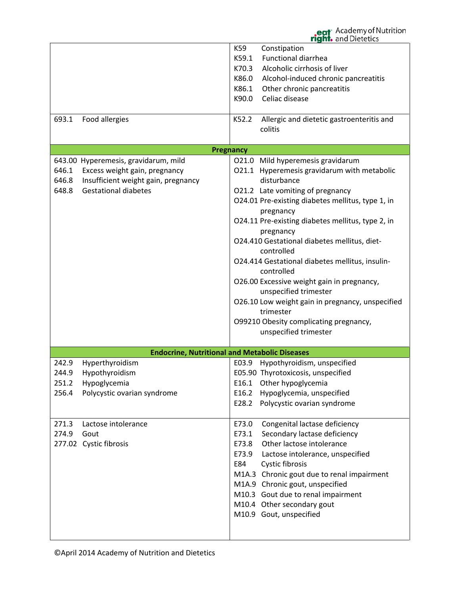**ht.** and Dietetics K59 Constipation K59.1 Functional diarrhea K70.3 Alcoholic cirrhosis of liver K86.0 Alcohol-induced chronic pancreatitis K86.1 Other chronic pancreatitis K90.0 Celiac disease 693.1 Food allergies K52.2 Allergic and dietetic gastroenteritis and colitis **Pregnancy** 643.00 Hyperemesis, gravidarum, mild O21.0 Mild hyperemesis gravidarum O21.1 Hyperemesis gravidarum with metabolic 646.1 Excess weight gain, pregnancy 646.8 Insufficient weight gain, pregnancy disturbance 648.8 Gestational diabetes O21.2 Late vomiting of pregnancy O24.01 Pre-existing diabetes mellitus, type 1, in pregnancy O24.11 Pre-existing diabetes mellitus, type 2, in pregnancy O24.410 Gestational diabetes mellitus, dietcontrolled O24.414 Gestational diabetes mellitus, insulincontrolled O26.00 Excessive weight gain in pregnancy, unspecified trimester O26.10 Low weight gain in pregnancy, unspecified trimester O99210 Obesity complicating pregnancy, unspecified trimester **Endocrine, Nutritional and Metabolic Diseases** 242.9 Hyperthyroidism E03.9 Hypothyroidism, unspecified 244.9 Hypothyroidism E05.90 Thyrotoxicosis, unspecified 251.2 Hypoglycemia E16.1 Other hypoglycemia 256.4 Polycystic ovarian syndrome E16.2 Hypoglycemia, unspecified E28.2 Polycystic ovarian syndrome 271.3 Lactose intolerance E73.0 Congenital lactase deficiency 274.9 Gout E73.1 Secondary lactase deficiency 277.02 Cystic fibrosis E73.8 Other lactose intolerance E73.9 Lactose intolerance, unspecified E84 Cystic fibrosis M1A.3 Chronic gout due to renal impairment M1A.9 Chronic gout, unspecified M10.3 Gout due to renal impairment M10.4 Other secondary gout M10.9 Gout, unspecified

eat<sup>\*</sup> Academy of Nutrition